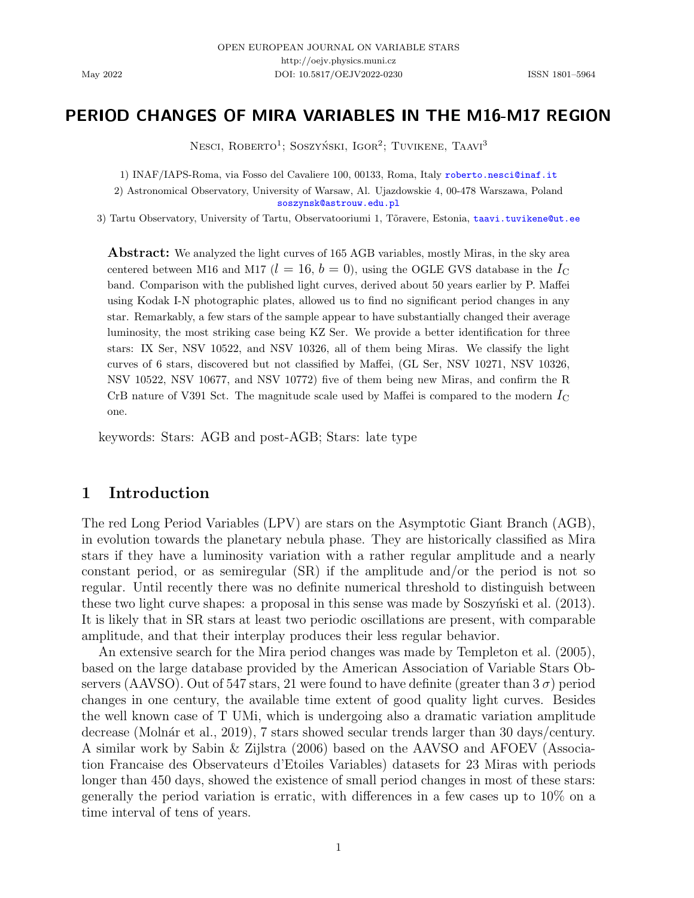## PERIOD CHANGES OF MIRA VARIABLES IN THE M16-M17 REGION

Nesci, Roberto<sup>1</sup>; Soszyński, Igor<sup>2</sup>; Tuvikene, Taavi<sup>3</sup>

1) INAF/IAPS-Roma, via Fosso del Cavaliere 100, 00133, Roma, Italy [roberto.nesci@inaf.it](mailto:roberto.nesci@inaf.it)

2) Astronomical Observatory, University of Warsaw, Al. Ujazdowskie 4, 00-478 Warszawa, Poland [soszynsk@astrouw.edu.pl](mailto:soszynsk@astrouw.edu.pl)

3) Tartu Observatory, University of Tartu, Observatooriumi 1, Tõravere, Estonia, [taavi.tuvikene@ut.ee](mailto: taavi.tuvikene@ut.ee)

**Abstract:** We analyzed the light curves of 165 AGB variables, mostly Miras, in the sky area centered between M16 and M17 ( $l = 16, b = 0$ ), using the OGLE GVS database in the  $I_{\text{C}}$ band. Comparison with the published light curves, derived about 50 years earlier by P. Maffei using Kodak I-N photographic plates, allowed us to find no significant period changes in any star. Remarkably, a few stars of the sample appear to have substantially changed their average luminosity, the most striking case being KZ Ser. We provide a better identification for three stars: IX Ser, NSV 10522, and NSV 10326, all of them being Miras. We classify the light curves of 6 stars, discovered but not classified by Maffei, (GL Ser, NSV 10271, NSV 10326, NSV 10522, NSV 10677, and NSV 10772) five of them being new Miras, and confirm the R CrB nature of V391 Sct. The magnitude scale used by Maffei is compared to the modern  $I_{\rm C}$ one.

keywords: Stars: AGB and post-AGB; Stars: late type

## 1 Introduction

The red Long Period Variables (LPV) are stars on the Asymptotic Giant Branch (AGB), in evolution towards the planetary nebula phase. They are historically classified as Mira stars if they have a luminosity variation with a rather regular amplitude and a nearly constant period, or as semiregular (SR) if the amplitude and/or the period is not so regular. Until recently there was no definite numerical threshold to distinguish between these two light curve shapes: a proposal in this sense was made by Soszynski et al. [\(2013\)](#page-20-0). It is likely that in SR stars at least two periodic oscillations are present, with comparable amplitude, and that their interplay produces their less regular behavior.

An extensive search for the Mira period changes was made by [Templeton et al.](#page-20-1) [\(2005\)](#page-20-1), based on the large database provided by the American Association of Variable Stars Observers (AAVSO). Out of 547 stars, 21 were found to have definite (greater than  $3\sigma$ ) period changes in one century, the available time extent of good quality light curves. Besides the well known case of T UMi, which is undergoing also a dramatic variation amplitude decrease (Molnár et al., [2019\)](#page-20-2), 7 stars showed secular trends larger than 30 days/century. A similar work by [Sabin & Zijlstra](#page-20-3) [\(2006\)](#page-20-3) based on the AAVSO and AFOEV (Association Francaise des Observateurs d'Etoiles Variables) datasets for 23 Miras with periods longer than 450 days, showed the existence of small period changes in most of these stars: generally the period variation is erratic, with differences in a few cases up to 10% on a time interval of tens of years.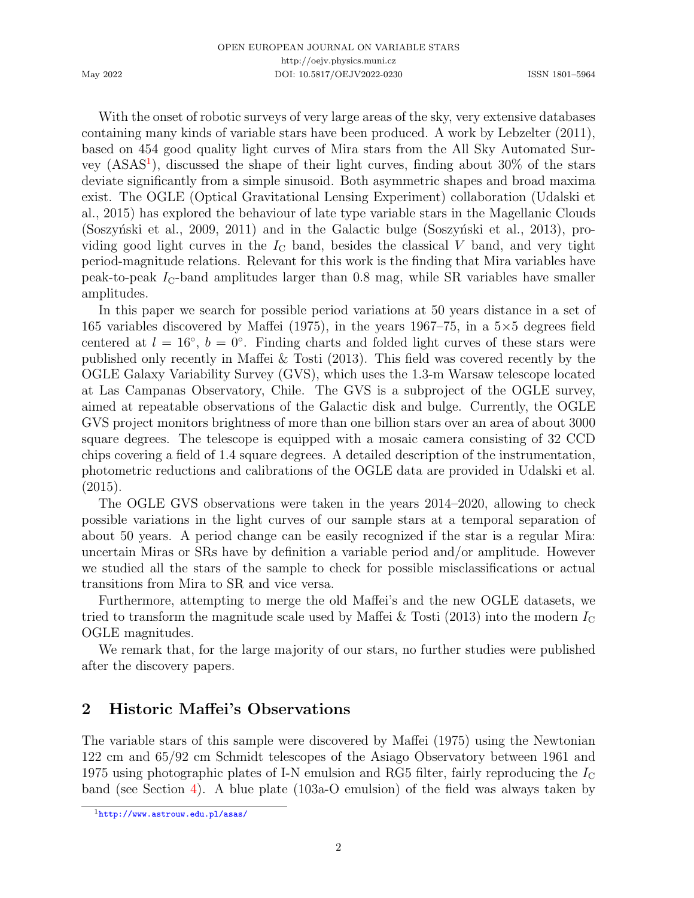With the onset of robotic surveys of very large areas of the sky, very extensive databases containing many kinds of variable stars have been produced. A work by [Lebzelter](#page-20-4) [\(2011\)](#page-20-4), based on 454 good quality light curves of Mira stars from the All Sky Automated Sur-vey (ASAS<sup>[1](#page-1-0)</sup>), discussed the shape of their light curves, finding about 30% of the stars deviate significantly from a simple sinusoid. Both asymmetric shapes and broad maxima exist. The OGLE (Optical Gravitational Lensing Experiment) collaboration [\(Udalski et](#page-21-0) [al.,](#page-21-0) [2015\)](#page-21-0) has explored the behaviour of late type variable stars in the Magellanic Clouds (Soszyński et al., [2009,](#page-20-5) [2011\)](#page-20-6) and in the Galactic bulge (Soszyński et al., [2013\)](#page-20-0), providing good light curves in the  $I_{\rm C}$  band, besides the classical V band, and very tight period-magnitude relations. Relevant for this work is the finding that Mira variables have peak-to-peak  $I_{\rm C}$ -band amplitudes larger than 0.8 mag, while SR variables have smaller amplitudes.

In this paper we search for possible period variations at 50 years distance in a set of 165 variables discovered by [Maffei](#page-20-7) [\(1975\)](#page-20-7), in the years 1967–75, in a  $5\times 5$  degrees field centered at  $l = 16°$ ,  $b = 0°$ . Finding charts and folded light curves of these stars were published only recently in [Maffei & Tosti](#page-20-8) [\(2013\)](#page-20-8). This field was covered recently by the OGLE Galaxy Variability Survey (GVS), which uses the 1.3-m Warsaw telescope located at Las Campanas Observatory, Chile. The GVS is a subproject of the OGLE survey, aimed at repeatable observations of the Galactic disk and bulge. Currently, the OGLE GVS project monitors brightness of more than one billion stars over an area of about 3000 square degrees. The telescope is equipped with a mosaic camera consisting of 32 CCD chips covering a field of 1.4 square degrees. A detailed description of the instrumentation, photometric reductions and calibrations of the OGLE data are provided in [Udalski et al.](#page-21-0)  $(2015).$  $(2015).$ 

The OGLE GVS observations were taken in the years 2014–2020, allowing to check possible variations in the light curves of our sample stars at a temporal separation of about 50 years. A period change can be easily recognized if the star is a regular Mira: uncertain Miras or SRs have by definition a variable period and/or amplitude. However we studied all the stars of the sample to check for possible misclassifications or actual transitions from Mira to SR and vice versa.

Furthermore, attempting to merge the old Maffei's and the new OGLE datasets, we tried to transform the magnitude scale used by Maffei  $&$  Tosti [\(2013\)](#page-20-8) into the modern  $I_{\rm C}$ OGLE magnitudes.

We remark that, for the large majority of our stars, no further studies were published after the discovery papers.

# <span id="page-1-1"></span>2 Historic Maffei's Observations

The variable stars of this sample were discovered by [Maffei](#page-20-7) [\(1975\)](#page-20-7) using the Newtonian 122 cm and 65/92 cm Schmidt telescopes of the Asiago Observatory between 1961 and 1975 using photographic plates of I-N emulsion and RG5 filter, fairly reproducing the  $I_{\rm C}$ band (see Section [4\)](#page-11-0). A blue plate (103a-O emulsion) of the field was always taken by

<span id="page-1-0"></span><sup>1</sup><http://www.astrouw.edu.pl/asas/>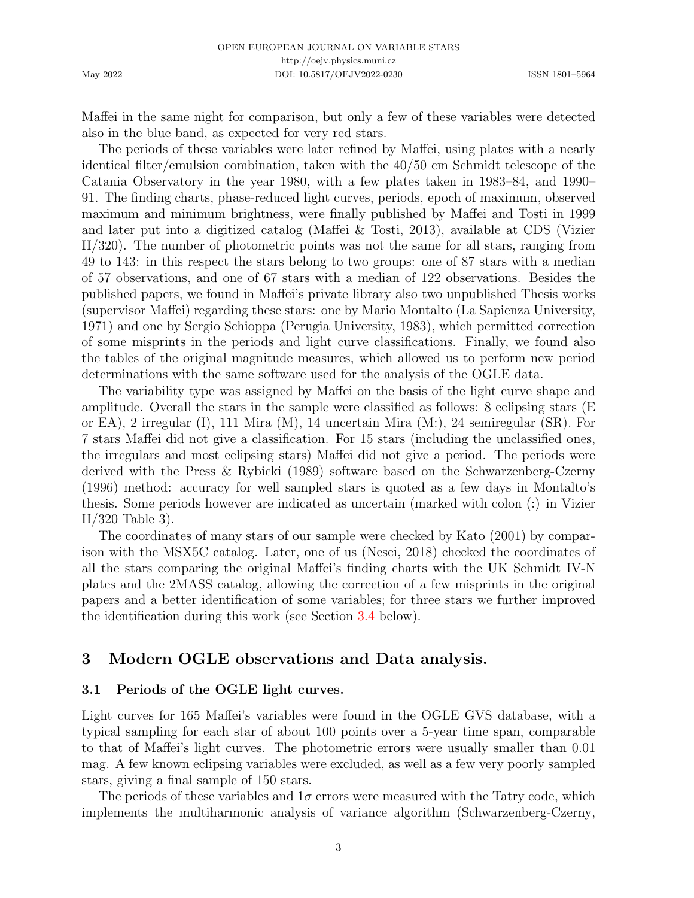Maffei in the same night for comparison, but only a few of these variables were detected also in the blue band, as expected for very red stars.

The periods of these variables were later refined by Maffei, using plates with a nearly identical filter/emulsion combination, taken with the 40/50 cm Schmidt telescope of the Catania Observatory in the year 1980, with a few plates taken in 1983–84, and 1990– 91. The finding charts, phase-reduced light curves, periods, epoch of maximum, observed maximum and minimum brightness, were finally published by Maffei and Tosti in 1999 and later put into a digitized catalog [\(Maffei & Tosti,](#page-20-8) [2013\)](#page-20-8), available at CDS (Vizier II/320). The number of photometric points was not the same for all stars, ranging from 49 to 143: in this respect the stars belong to two groups: one of 87 stars with a median of 57 observations, and one of 67 stars with a median of 122 observations. Besides the published papers, we found in Maffei's private library also two unpublished Thesis works (supervisor Maffei) regarding these stars: one by Mario Montalto (La Sapienza University, 1971) and one by Sergio Schioppa (Perugia University, 1983), which permitted correction of some misprints in the periods and light curve classifications. Finally, we found also the tables of the original magnitude measures, which allowed us to perform new period determinations with the same software used for the analysis of the OGLE data.

The variability type was assigned by Maffei on the basis of the light curve shape and amplitude. Overall the stars in the sample were classified as follows: 8 eclipsing stars (E or EA), 2 irregular (I), 111 Mira (M), 14 uncertain Mira (M:), 24 semiregular (SR). For 7 stars Maffei did not give a classification. For 15 stars (including the unclassified ones, the irregulars and most eclipsing stars) Maffei did not give a period. The periods were derived with the [Press & Rybicki](#page-20-9) [\(1989\)](#page-20-9) software based on the [Schwarzenberg-Czerny](#page-20-10) [\(1996\)](#page-20-10) method: accuracy for well sampled stars is quoted as a few days in Montalto's thesis. Some periods however are indicated as uncertain (marked with colon (:) in Vizier II/320 Table 3).

The coordinates of many stars of our sample were checked by [Kato](#page-19-0) [\(2001\)](#page-19-0) by comparison with the MSX5C catalog. Later, one of us [\(Nesci,](#page-20-11) [2018\)](#page-20-11) checked the coordinates of all the stars comparing the original Maffei's finding charts with the UK Schmidt IV-N plates and the 2MASS catalog, allowing the correction of a few misprints in the original papers and a better identification of some variables; for three stars we further improved the identification during this work (see Section [3.4](#page-9-0) below).

## 3 Modern OGLE observations and Data analysis.

#### <span id="page-2-0"></span>3.1 Periods of the OGLE light curves.

Light curves for 165 Maffei's variables were found in the OGLE GVS database, with a typical sampling for each star of about 100 points over a 5-year time span, comparable to that of Maffei's light curves. The photometric errors were usually smaller than 0.01 mag. A few known eclipsing variables were excluded, as well as a few very poorly sampled stars, giving a final sample of 150 stars.

The periods of these variables and  $1\sigma$  errors were measured with the Tatry code, which implements the multiharmonic analysis of variance algorithm [\(Schwarzenberg-Czerny,](#page-20-10)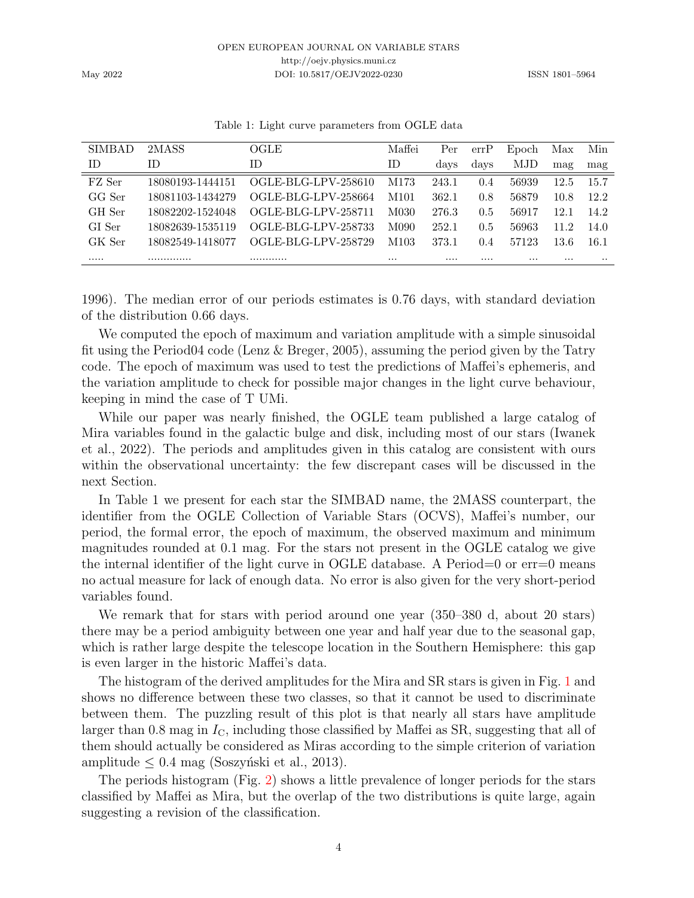| <b>SIMBAD</b> | 2MASS            | OGLE                | Maffei           | Per      | errP | Epoch    | Max      | Min       |
|---------------|------------------|---------------------|------------------|----------|------|----------|----------|-----------|
| ΙD            | ΙD               | ΙD                  | ID               | days     | days | MJD      | mag      | mag       |
| FZ Ser        | 18080193-1444151 | OGLE-BLG-LPV-258610 | M173             | 243.1    | 0.4  | 56939    | 12.5     | 15.7      |
| GG Ser        | 18081103-1434279 | OGLE-BLG-LPV-258664 | M101             | 362.1    | 0.8  | 56879    | 10.8     | 12.2      |
| GH Ser        | 18082202-1524048 | OGLE-BLG-LPV-258711 | M030             | 276.3    | 0.5  | 56917    | 12.1     | 14.2      |
| GI Ser        | 18082639-1535119 | OGLE-BLG-LPV-258733 | M090             | 252.1    | 0.5  | 56963    | 11.2     | 14.0      |
| GK Ser        | 18082549-1418077 | OGLE-BLG-LPV-258729 | M <sub>103</sub> | 373.1    | 0.4  | 57123    | 13.6     | 16.1      |
|               |                  |                     | $\cdots$         | $\cdots$ |      | $\cdots$ | $\cdots$ | $\cdot$ . |

Table 1: Light curve parameters from OGLE data

[1996\)](#page-20-10). The median error of our periods estimates is 0.76 days, with standard deviation of the distribution 0.66 days.

We computed the epoch of maximum and variation amplitude with a simple sinusoidal fit using the Period04 code [\(Lenz & Breger,](#page-20-12) [2005\)](#page-20-12), assuming the period given by the Tatry code. The epoch of maximum was used to test the predictions of Maffei's ephemeris, and the variation amplitude to check for possible major changes in the light curve behaviour, keeping in mind the case of T UMi.

While our paper was nearly finished, the OGLE team published a large catalog of Mira variables found in the galactic bulge and disk, including most of our stars [\(Iwanek](#page-19-1) [et al.,](#page-19-1) [2022\)](#page-19-1). The periods and amplitudes given in this catalog are consistent with ours within the observational uncertainty: the few discrepant cases will be discussed in the next Section.

In Table 1 we present for each star the SIMBAD name, the 2MASS counterpart, the identifier from the OGLE Collection of Variable Stars (OCVS), Maffei's number, our period, the formal error, the epoch of maximum, the observed maximum and minimum magnitudes rounded at 0.1 mag. For the stars not present in the OGLE catalog we give the internal identifier of the light curve in OGLE database. A Period=0 or err=0 means no actual measure for lack of enough data. No error is also given for the very short-period variables found.

We remark that for stars with period around one year (350–380 d, about 20 stars) there may be a period ambiguity between one year and half year due to the seasonal gap, which is rather large despite the telescope location in the Southern Hemisphere: this gap is even larger in the historic Maffei's data.

The histogram of the derived amplitudes for the Mira and SR stars is given in Fig. [1](#page-4-0) and shows no difference between these two classes, so that it cannot be used to discriminate between them. The puzzling result of this plot is that nearly all stars have amplitude larger than 0.8 mag in  $I_{\text{C}}$ , including those classified by Maffei as SR, suggesting that all of them should actually be considered as Miras according to the simple criterion of variation amplitude  $\leq 0.4$  mag (Soszyński et al., [2013\)](#page-20-0).

The periods histogram (Fig. [2\)](#page-4-1) shows a little prevalence of longer periods for the stars classified by Maffei as Mira, but the overlap of the two distributions is quite large, again suggesting a revision of the classification.

May 2022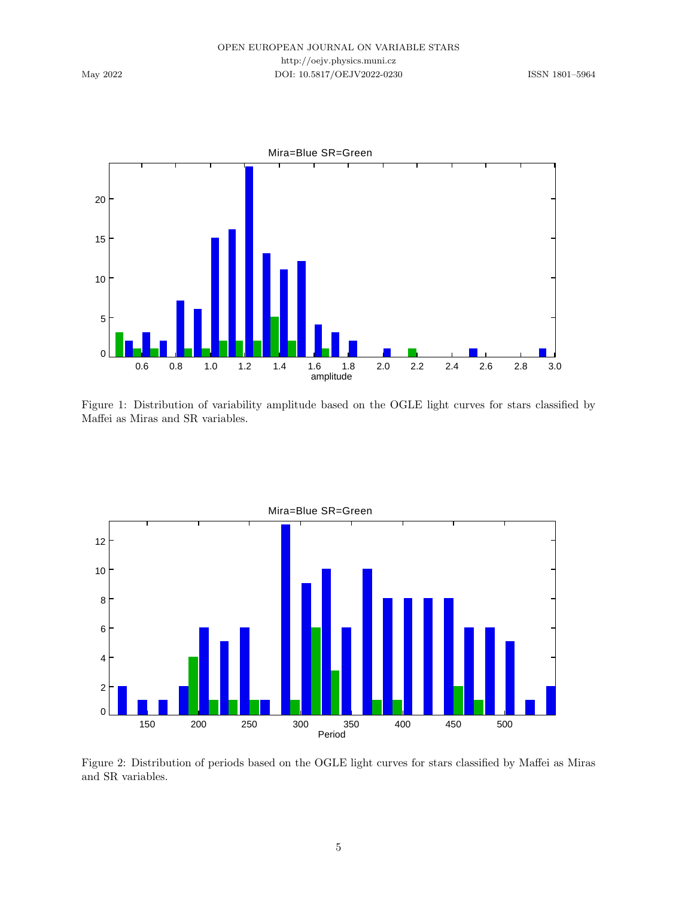

<span id="page-4-0"></span>Figure 1: Distribution of variability amplitude based on the OGLE light curves for stars classified by Maffei as Miras and SR variables.



<span id="page-4-1"></span>Figure 2: Distribution of periods based on the OGLE light curves for stars classified by Maffei as Miras and SR variables.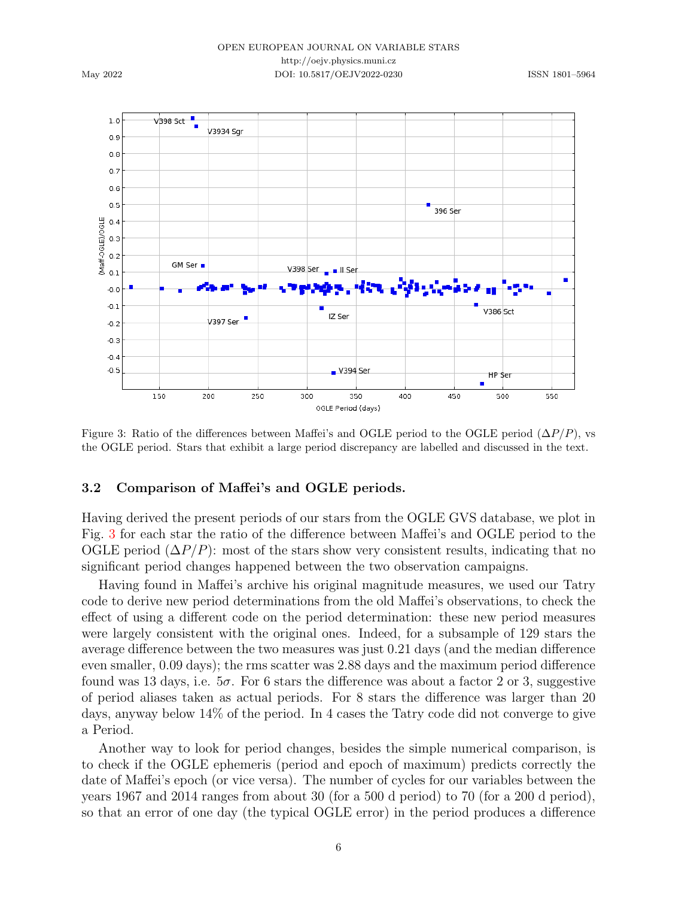V398 Sct  $1.0$ V3934 Sgr  $0.9$  $0.8$  $0.7$  $0.6$  $0.5$  $396$  Ser  $0.4$ (Maff-0GLE)/OGLE  $0.3$  $0.2$ GM Ser V398 Ser Jul Ser  $0.1$  $\blacksquare$  $-0.0$  $-0.1$ V386 Sct IZ Ser Е V397 Ser  $-0.2$  $-0.3$  $-0,4$  $-0.5$  $\sqrt{394}$  Ser HP Ser 150 300 400 500 550 200 250 350 450 OGLE Period (days)

<span id="page-5-0"></span>Figure 3: Ratio of the differences between Maffei's and OGLE period to the OGLE period  $(\Delta P/P)$ , vs the OGLE period. Stars that exhibit a large period discrepancy are labelled and discussed in the text.

#### 3.2 Comparison of Maffei's and OGLE periods.

Having derived the present periods of our stars from the OGLE GVS database, we plot in Fig. [3](#page-5-0) for each star the ratio of the difference between Maffei's and OGLE period to the OGLE period  $(\Delta P/P)$ : most of the stars show very consistent results, indicating that no significant period changes happened between the two observation campaigns.

Having found in Maffei's archive his original magnitude measures, we used our Tatry code to derive new period determinations from the old Maffei's observations, to check the effect of using a different code on the period determination: these new period measures were largely consistent with the original ones. Indeed, for a subsample of 129 stars the average difference between the two measures was just 0.21 days (and the median difference even smaller, 0.09 days); the rms scatter was 2.88 days and the maximum period difference found was 13 days, i.e.  $5\sigma$ . For 6 stars the difference was about a factor 2 or 3, suggestive of period aliases taken as actual periods. For 8 stars the difference was larger than 20 days, anyway below 14% of the period. In 4 cases the Tatry code did not converge to give a Period.

Another way to look for period changes, besides the simple numerical comparison, is to check if the OGLE ephemeris (period and epoch of maximum) predicts correctly the date of Maffei's epoch (or vice versa). The number of cycles for our variables between the years 1967 and 2014 ranges from about 30 (for a 500 d period) to 70 (for a 200 d period), so that an error of one day (the typical OGLE error) in the period produces a difference

6

May 2022

#### OPEN EUROPEAN JOURNAL ON VARIABLE STARS http://oejv.physics.muni.cz DOI: 10.5817/OEJV2022-0230 ISSN 1801-5964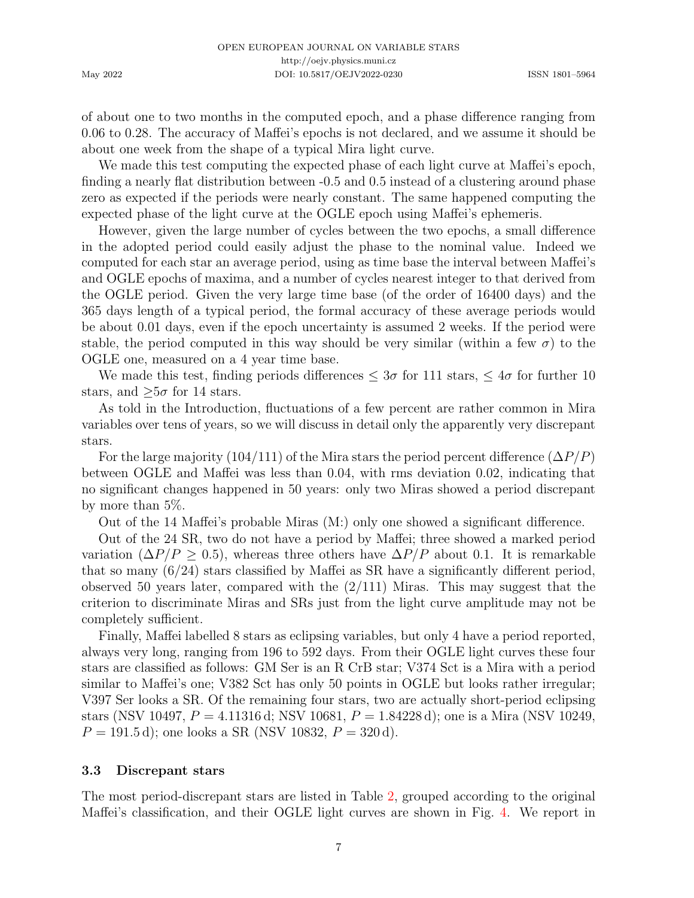of about one to two months in the computed epoch, and a phase difference ranging from 0.06 to 0.28. The accuracy of Maffei's epochs is not declared, and we assume it should be about one week from the shape of a typical Mira light curve.

We made this test computing the expected phase of each light curve at Maffei's epoch, finding a nearly flat distribution between -0.5 and 0.5 instead of a clustering around phase zero as expected if the periods were nearly constant. The same happened computing the expected phase of the light curve at the OGLE epoch using Maffei's ephemeris.

However, given the large number of cycles between the two epochs, a small difference in the adopted period could easily adjust the phase to the nominal value. Indeed we computed for each star an average period, using as time base the interval between Maffei's and OGLE epochs of maxima, and a number of cycles nearest integer to that derived from the OGLE period. Given the very large time base (of the order of 16400 days) and the 365 days length of a typical period, the formal accuracy of these average periods would be about 0.01 days, even if the epoch uncertainty is assumed 2 weeks. If the period were stable, the period computed in this way should be very similar (within a few  $\sigma$ ) to the OGLE one, measured on a 4 year time base.

We made this test, finding periods differences  $\leq 3\sigma$  for 111 stars,  $\leq 4\sigma$  for further 10 stars, and  $\geq 5\sigma$  for 14 stars.

As told in the Introduction, fluctuations of a few percent are rather common in Mira variables over tens of years, so we will discuss in detail only the apparently very discrepant stars.

For the large majority (104/111) of the Mira stars the period percent difference  $(\Delta P/P)$ between OGLE and Maffei was less than 0.04, with rms deviation 0.02, indicating that no significant changes happened in 50 years: only two Miras showed a period discrepant by more than 5%.

Out of the 14 Maffei's probable Miras (M:) only one showed a significant difference.

Out of the 24 SR, two do not have a period by Maffei; three showed a marked period variation ( $\Delta P/P > 0.5$ ), whereas three others have  $\Delta P/P$  about 0.1. It is remarkable that so many (6/24) stars classified by Maffei as SR have a significantly different period, observed 50 years later, compared with the  $(2/111)$  Miras. This may suggest that the criterion to discriminate Miras and SRs just from the light curve amplitude may not be completely sufficient.

Finally, Maffei labelled 8 stars as eclipsing variables, but only 4 have a period reported, always very long, ranging from 196 to 592 days. From their OGLE light curves these four stars are classified as follows: GM Ser is an R CrB star; V374 Sct is a Mira with a period similar to Maffei's one; V382 Sct has only 50 points in OGLE but looks rather irregular; V397 Ser looks a SR. Of the remaining four stars, two are actually short-period eclipsing stars (NSV 10497,  $P = 4.11316$  d; NSV 10681,  $P = 1.84228$  d); one is a Mira (NSV 10249,  $P = 191.5 d$ ; one looks a SR (NSV 10832,  $P = 320 d$ ).

#### 3.3 Discrepant stars

The most period-discrepant stars are listed in Table [2,](#page-8-0) grouped according to the original Maffei's classification, and their OGLE light curves are shown in Fig. [4.](#page-7-0) We report in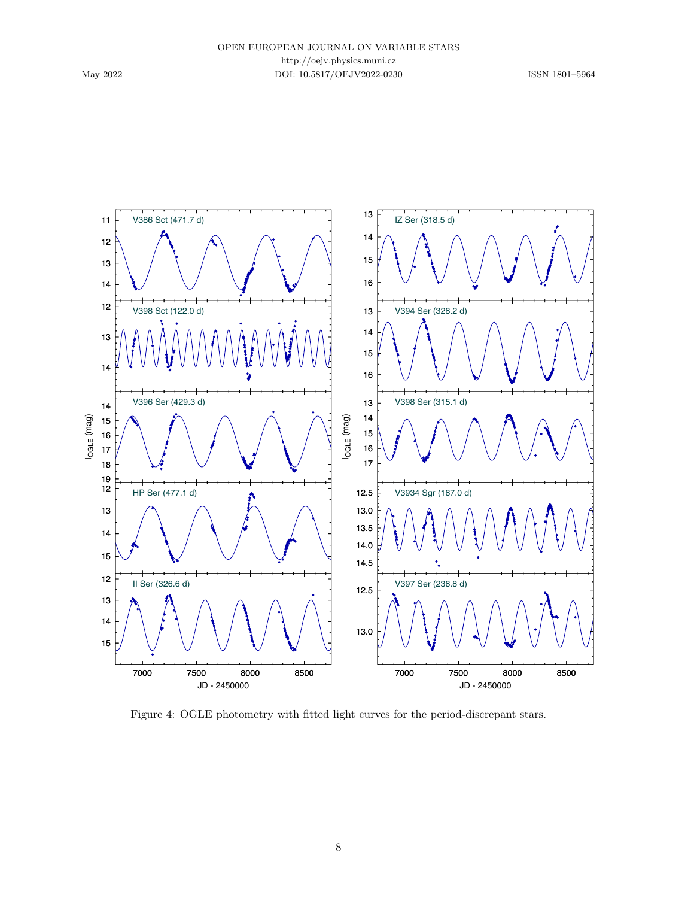

<span id="page-7-0"></span>Figure 4: OGLE photometry with fitted light curves for the period-discrepant stars.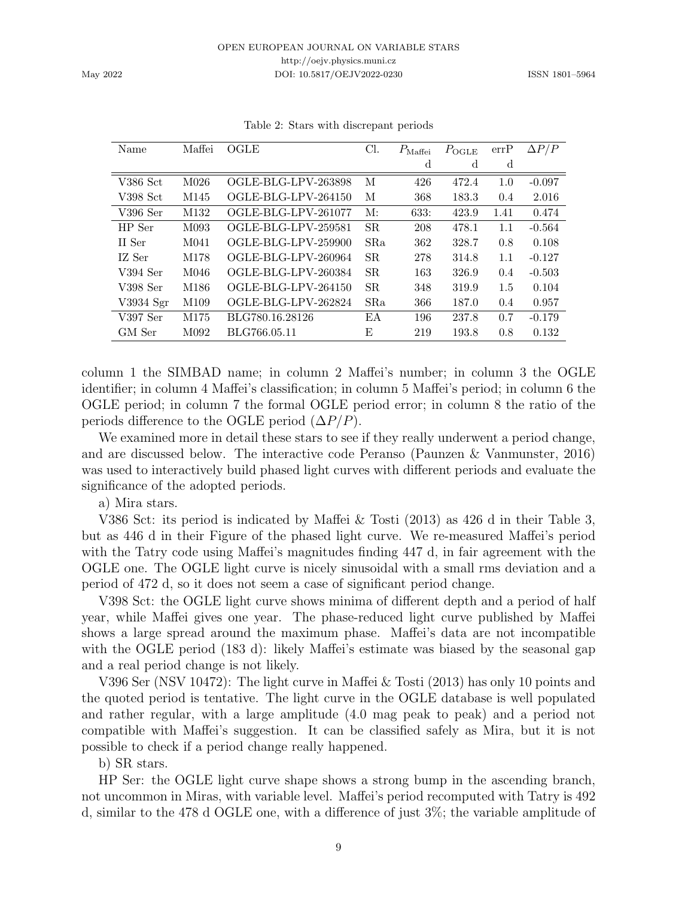| Name       | Maffei           | OGLE                | Cl.        | $P_{\rm Maffei}$ | $P_{\text{OGLE}}$ | errP | $\Delta P/P$ |
|------------|------------------|---------------------|------------|------------------|-------------------|------|--------------|
|            |                  |                     |            | d                | d                 | d    |              |
| $V386$ Sct | M <sub>026</sub> | OGLE-BLG-LPV-263898 | М          | 426              | 472.4             | 1.0  | $-0.097$     |
| V398 Sct   | M145             | OGLE-BLG-LPV-264150 | М          | 368              | 183.3             | 0.4  | 2.016        |
| $V396$ Ser | M132             | OGLE-BLG-LPV-261077 | M:         | 633:             | 423.9             | 1.41 | 0.474        |
| HP Ser     | M093             | OGLE-BLG-LPV-259581 | <b>SR</b>  | 208              | 478.1             | 1.1  | $-0.564$     |
| II Ser     | M <sub>041</sub> | OGLE-BLG-LPV-259900 | <b>SRa</b> | 362              | 328.7             | 0.8  | 0.108        |
| IZ Ser     | M178             | OGLE-BLG-LPV-260964 | SR.        | 278              | 314.8             | 1.1  | $-0.127$     |
| $V394$ Ser | M046             | OGLE-BLG-LPV-260384 | SR.        | 163              | 326.9             | 0.4  | $-0.503$     |
| V398 Ser   | M186             | OGLE-BLG-LPV-264150 | SR.        | 348              | 319.9             | 1.5  | 0.104        |
| V3934 Sgr  | M109             | OGLE-BLG-LPV-262824 | <b>SRa</b> | 366              | 187.0             | 0.4  | 0.957        |
| $V397$ Ser | M175             | BLG780.16.28126     | ΕA         | 196              | 237.8             | 0.7  | $-0.179$     |
| GM Ser     | M092             | BLG766.05.11        | Е          | 219              | 193.8             | 0.8  | 0.132        |

<span id="page-8-0"></span>

|  |  |  | Table 2: Stars with discrepant periods |  |
|--|--|--|----------------------------------------|--|
|--|--|--|----------------------------------------|--|

column 1 the SIMBAD name; in column 2 Maffei's number; in column 3 the OGLE identifier; in column 4 Maffei's classification; in column 5 Maffei's period; in column 6 the OGLE period; in column 7 the formal OGLE period error; in column 8 the ratio of the periods difference to the OGLE period  $(\Delta P/P)$ .

We examined more in detail these stars to see if they really underwent a period change, and are discussed below. The interactive code Peranso [\(Paunzen & Vanmunster,](#page-20-13) [2016\)](#page-20-13) was used to interactively build phased light curves with different periods and evaluate the significance of the adopted periods.

a) Mira stars.

V386 Sct: its period is indicated by [Maffei & Tosti](#page-20-8) [\(2013\)](#page-20-8) as 426 d in their Table 3, but as 446 d in their Figure of the phased light curve. We re-measured Maffei's period with the Tatry code using Maffei's magnitudes finding 447 d, in fair agreement with the OGLE one. The OGLE light curve is nicely sinusoidal with a small rms deviation and a period of 472 d, so it does not seem a case of significant period change.

V398 Sct: the OGLE light curve shows minima of different depth and a period of half year, while Maffei gives one year. The phase-reduced light curve published by Maffei shows a large spread around the maximum phase. Maffei's data are not incompatible with the OGLE period (183 d): likely Maffei's estimate was biased by the seasonal gap and a real period change is not likely.

V396 Ser (NSV 10472): The light curve in [Maffei & Tosti](#page-20-8) [\(2013\)](#page-20-8) has only 10 points and the quoted period is tentative. The light curve in the OGLE database is well populated and rather regular, with a large amplitude (4.0 mag peak to peak) and a period not compatible with Maffei's suggestion. It can be classified safely as Mira, but it is not possible to check if a period change really happened.

b) SR stars.

HP Ser: the OGLE light curve shape shows a strong bump in the ascending branch, not uncommon in Miras, with variable level. Maffei's period recomputed with Tatry is 492 d, similar to the 478 d OGLE one, with a difference of just 3%; the variable amplitude of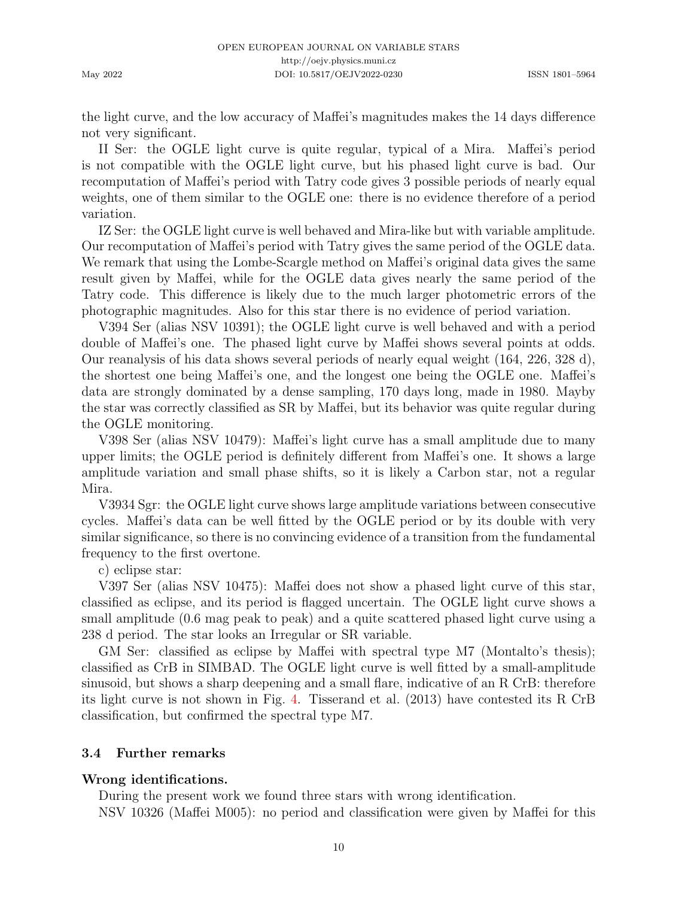the light curve, and the low accuracy of Maffei's magnitudes makes the 14 days difference not very significant.

II Ser: the OGLE light curve is quite regular, typical of a Mira. Maffei's period is not compatible with the OGLE light curve, but his phased light curve is bad. Our recomputation of Maffei's period with Tatry code gives 3 possible periods of nearly equal weights, one of them similar to the OGLE one: there is no evidence therefore of a period variation.

IZ Ser: the OGLE light curve is well behaved and Mira-like but with variable amplitude. Our recomputation of Maffei's period with Tatry gives the same period of the OGLE data. We remark that using the Lombe-Scargle method on Maffei's original data gives the same result given by Maffei, while for the OGLE data gives nearly the same period of the Tatry code. This difference is likely due to the much larger photometric errors of the photographic magnitudes. Also for this star there is no evidence of period variation.

V394 Ser (alias NSV 10391); the OGLE light curve is well behaved and with a period double of Maffei's one. The phased light curve by Maffei shows several points at odds. Our reanalysis of his data shows several periods of nearly equal weight (164, 226, 328 d), the shortest one being Maffei's one, and the longest one being the OGLE one. Maffei's data are strongly dominated by a dense sampling, 170 days long, made in 1980. Mayby the star was correctly classified as SR by Maffei, but its behavior was quite regular during the OGLE monitoring.

V398 Ser (alias NSV 10479): Maffei's light curve has a small amplitude due to many upper limits; the OGLE period is definitely different from Maffei's one. It shows a large amplitude variation and small phase shifts, so it is likely a Carbon star, not a regular Mira.

V3934 Sgr: the OGLE light curve shows large amplitude variations between consecutive cycles. Maffei's data can be well fitted by the OGLE period or by its double with very similar significance, so there is no convincing evidence of a transition from the fundamental frequency to the first overtone.

c) eclipse star:

V397 Ser (alias NSV 10475): Maffei does not show a phased light curve of this star, classified as eclipse, and its period is flagged uncertain. The OGLE light curve shows a small amplitude (0.6 mag peak to peak) and a quite scattered phased light curve using a 238 d period. The star looks an Irregular or SR variable.

GM Ser: classified as eclipse by Maffei with spectral type M7 (Montalto's thesis); classified as CrB in SIMBAD. The OGLE light curve is well fitted by a small-amplitude sinusoid, but shows a sharp deepening and a small flare, indicative of an R CrB: therefore its light curve is not shown in Fig. [4.](#page-7-0) [Tisserand et al.](#page-20-14) [\(2013\)](#page-20-14) have contested its R CrB classification, but confirmed the spectral type M7.

# <span id="page-9-0"></span>3.4 Further remarks

## Wrong identifications.

During the present work we found three stars with wrong identification. NSV 10326 (Maffei M005): no period and classification were given by Maffei for this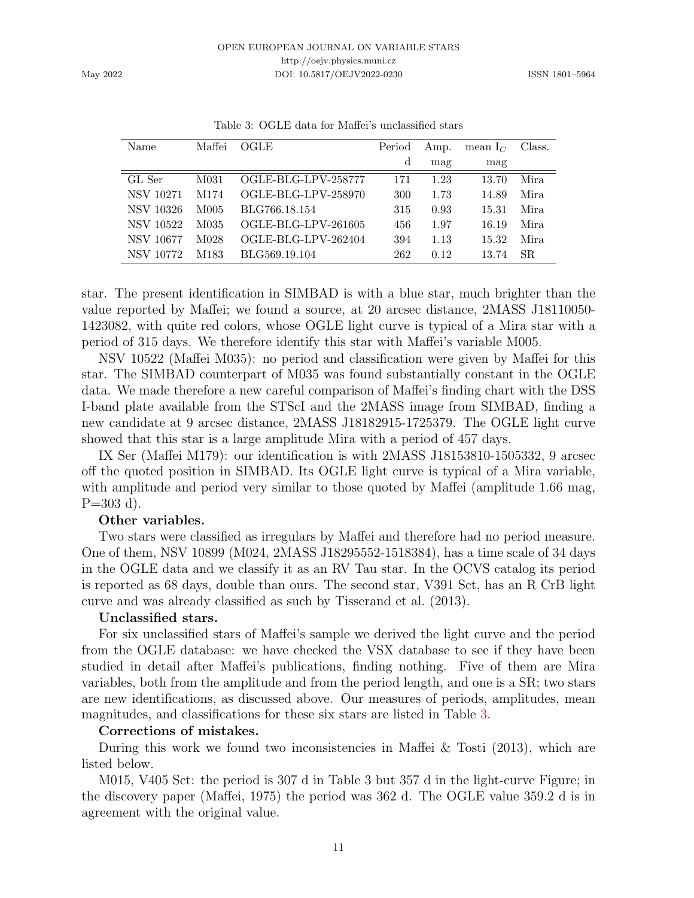| Name             | Maffei | OGLE                | Period | Amp. | mean $I_C$ | Class. |
|------------------|--------|---------------------|--------|------|------------|--------|
|                  |        |                     | d      | mag  | mag        |        |
| GL Ser           | M031   | OGLE-BLG-LPV-258777 | 171    | 1.23 | 13.70      | Mira   |
| NSV 10271        | M174   | OGLE-BLG-LPV-258970 | 300    | 1.73 | 14.89      | Mira.  |
| NSV 10326        | M005   | BLG766.18.154       | 315    | 0.93 | 15.31      | Mira   |
| NSV 10522        | M035   | OGLE-BLG-LPV-261605 | 456    | 1.97 | 16.19      | Mira   |
| NSV 10677        | M028   | OGLE-BLG-LPV-262404 | 394    | 1.13 | 15.32      | Mira   |
| <b>NSV 10772</b> | M183   | BLG569.19.104       | 262    | 0.12 | 13.74      | SR.    |

<span id="page-10-0"></span>Table 3: OGLE data for Maffei's unclassified stars

star. The present identification in SIMBAD is with a blue star, much brighter than the value reported by Maffei; we found a source, at 20 arcsec distance, 2MASS J18110050- 1423082, with quite red colors, whose OGLE light curve is typical of a Mira star with a period of 315 days. We therefore identify this star with Maffei's variable M005.

NSV 10522 (Maffei M035): no period and classification were given by Maffei for this star. The SIMBAD counterpart of M035 was found substantially constant in the OGLE data. We made therefore a new careful comparison of Maffei's finding chart with the DSS I-band plate available from the STScI and the 2MASS image from SIMBAD, finding a new candidate at 9 arcsec distance, 2MASS J18182915-1725379. The OGLE light curve showed that this star is a large amplitude Mira with a period of 457 days.

IX Ser (Maffei M179): our identification is with 2MASS J18153810-1505332, 9 arcsec off the quoted position in SIMBAD. Its OGLE light curve is typical of a Mira variable, with amplitude and period very similar to those quoted by Maffei (amplitude 1.66 mag,  $P=303$  d).

## Other variables.

Two stars were classified as irregulars by Maffei and therefore had no period measure. One of them, NSV 10899 (M024, 2MASS J18295552-1518384), has a time scale of 34 days in the OGLE data and we classify it as an RV Tau star. In the OCVS catalog its period is reported as 68 days, double than ours. The second star, V391 Sct, has an R CrB light curve and was already classified as such by [Tisserand et al.](#page-20-14) [\(2013\)](#page-20-14).

## Unclassified stars.

For six unclassified stars of Maffei's sample we derived the light curve and the period from the OGLE database: we have checked the VSX database to see if they have been studied in detail after Maffei's publications, finding nothing. Five of them are Mira variables, both from the amplitude and from the period length, and one is a SR; two stars are new identifications, as discussed above. Our measures of periods, amplitudes, mean magnitudes, and classifications for these six stars are listed in Table [3.](#page-10-0)

## Corrections of mistakes.

During this work we found two inconsistencies in [Maffei & Tosti](#page-20-8) [\(2013\)](#page-20-8), which are listed below.

M015, V405 Sct: the period is 307 d in Table 3 but 357 d in the light-curve Figure; in the discovery paper [\(Maffei,](#page-20-7) [1975\)](#page-20-7) the period was 362 d. The OGLE value 359.2 d is in agreement with the original value.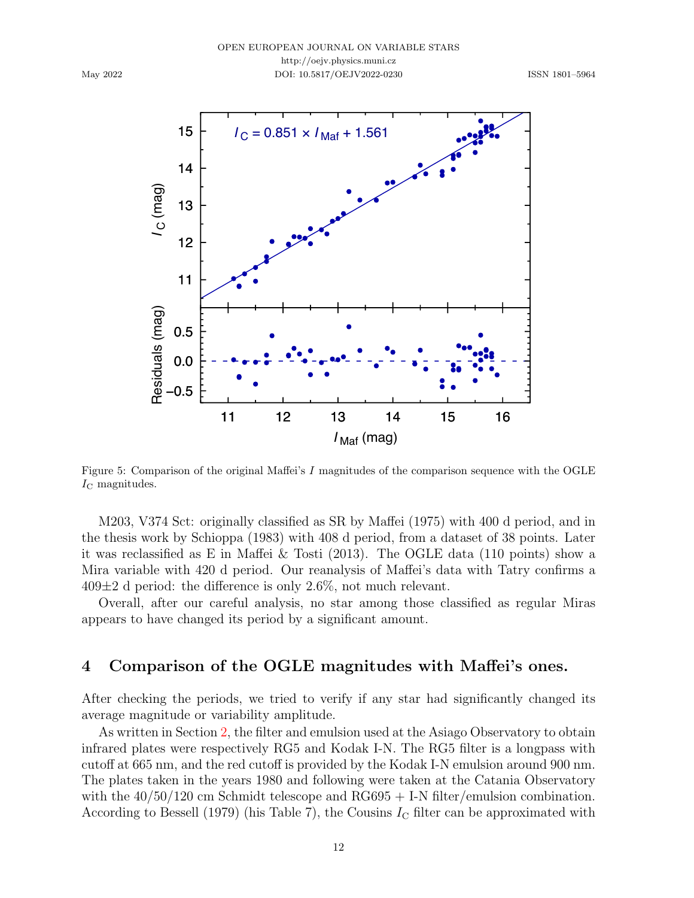

<span id="page-11-1"></span>Figure 5: Comparison of the original Maffei's I magnitudes of the comparison sequence with the OGLE  $I_{\rm C}$  magnitudes.

M203, V374 Sct: originally classified as SR by [Maffei](#page-20-7) [\(1975\)](#page-20-7) with 400 d period, and in the thesis work by Schioppa (1983) with 408 d period, from a dataset of 38 points. Later it was reclassified as E in [Maffei & Tosti](#page-20-8) [\(2013\)](#page-20-8). The OGLE data (110 points) show a Mira variable with 420 d period. Our reanalysis of Maffei's data with Tatry confirms a  $409\pm2$  d period: the difference is only 2.6%, not much relevant.

Overall, after our careful analysis, no star among those classified as regular Miras appears to have changed its period by a significant amount.

## <span id="page-11-0"></span>4 Comparison of the OGLE magnitudes with Maffei's ones.

After checking the periods, we tried to verify if any star had significantly changed its average magnitude or variability amplitude.

As written in Section [2,](#page-1-1) the filter and emulsion used at the Asiago Observatory to obtain infrared plates were respectively RG5 and Kodak I-N. The RG5 filter is a longpass with cutoff at 665 nm, and the red cutoff is provided by the Kodak I-N emulsion around 900 nm. The plates taken in the years 1980 and following were taken at the Catania Observatory with the  $40/50/120$  cm Schmidt telescope and RG695 + I-N filter/emulsion combination. According to [Bessell](#page-19-2) [\(1979\)](#page-19-2) (his Table 7), the Cousins  $I_{\rm C}$  filter can be approximated with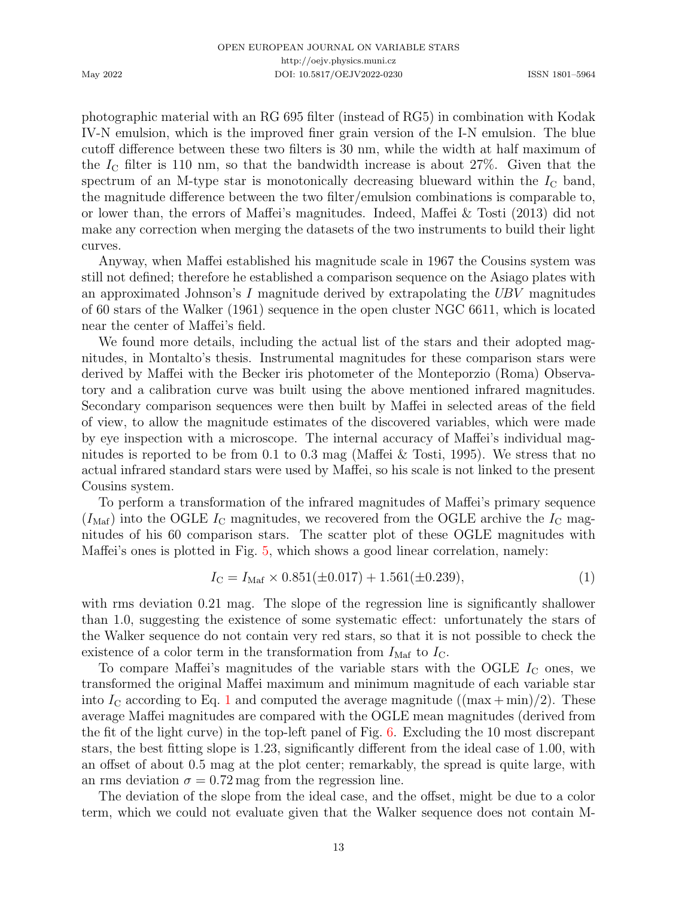photographic material with an RG 695 filter (instead of RG5) in combination with Kodak IV-N emulsion, which is the improved finer grain version of the I-N emulsion. The blue cutoff difference between these two filters is 30 nm, while the width at half maximum of the  $I_c$  filter is 110 nm, so that the bandwidth increase is about 27%. Given that the spectrum of an M-type star is monotonically decreasing blueward within the  $I_{\rm C}$  band, the magnitude difference between the two filter/emulsion combinations is comparable to, or lower than, the errors of Maffei's magnitudes. Indeed, [Maffei & Tosti](#page-20-8) [\(2013\)](#page-20-8) did not make any correction when merging the datasets of the two instruments to build their light curves.

Anyway, when Maffei established his magnitude scale in 1967 the Cousins system was still not defined; therefore he established a comparison sequence on the Asiago plates with an approximated Johnson's I magnitude derived by extrapolating the  $UBV$  magnitudes of 60 stars of the [Walker](#page-21-1) [\(1961\)](#page-21-1) sequence in the open cluster NGC 6611, which is located near the center of Maffei's field.

We found more details, including the actual list of the stars and their adopted magnitudes, in Montalto's thesis. Instrumental magnitudes for these comparison stars were derived by Maffei with the Becker iris photometer of the Monteporzio (Roma) Observatory and a calibration curve was built using the above mentioned infrared magnitudes. Secondary comparison sequences were then built by Maffei in selected areas of the field of view, to allow the magnitude estimates of the discovered variables, which were made by eye inspection with a microscope. The internal accuracy of Maffei's individual magnitudes is reported to be from 0.1 to 0.3 mag [\(Maffei & Tosti,](#page-20-15) [1995\)](#page-20-15). We stress that no actual infrared standard stars were used by Maffei, so his scale is not linked to the present Cousins system.

To perform a transformation of the infrared magnitudes of Maffei's primary sequence  $(I_{\text{Maf}})$  into the OGLE  $I_{\text{C}}$  magnitudes, we recovered from the OGLE archive the  $I_{\text{C}}$  magnitudes of his 60 comparison stars. The scatter plot of these OGLE magnitudes with Maffei's ones is plotted in Fig. [5,](#page-11-1) which shows a good linear correlation, namely:

<span id="page-12-0"></span>
$$
I_{\rm C} = I_{\rm Maf} \times 0.851(\pm 0.017) + 1.561(\pm 0.239),\tag{1}
$$

with rms deviation 0.21 mag. The slope of the regression line is significantly shallower than 1.0, suggesting the existence of some systematic effect: unfortunately the stars of the Walker sequence do not contain very red stars, so that it is not possible to check the existence of a color term in the transformation from  $I_{\text{Maf}}$  to  $I_{\text{C}}$ .

To compare Maffei's magnitudes of the variable stars with the OGLE  $I_{\rm C}$  ones, we transformed the original Maffei maximum and minimum magnitude of each variable star into  $I_{\rm C}$  according to Eq. [1](#page-12-0) and computed the average magnitude ((max + min)/2). These average Maffei magnitudes are compared with the OGLE mean magnitudes (derived from the fit of the light curve) in the top-left panel of Fig. [6.](#page-13-0) Excluding the 10 most discrepant stars, the best fitting slope is 1.23, significantly different from the ideal case of 1.00, with an offset of about 0.5 mag at the plot center; remarkably, the spread is quite large, with an rms deviation  $\sigma = 0.72$  mag from the regression line.

The deviation of the slope from the ideal case, and the offset, might be due to a color term, which we could not evaluate given that the Walker sequence does not contain M-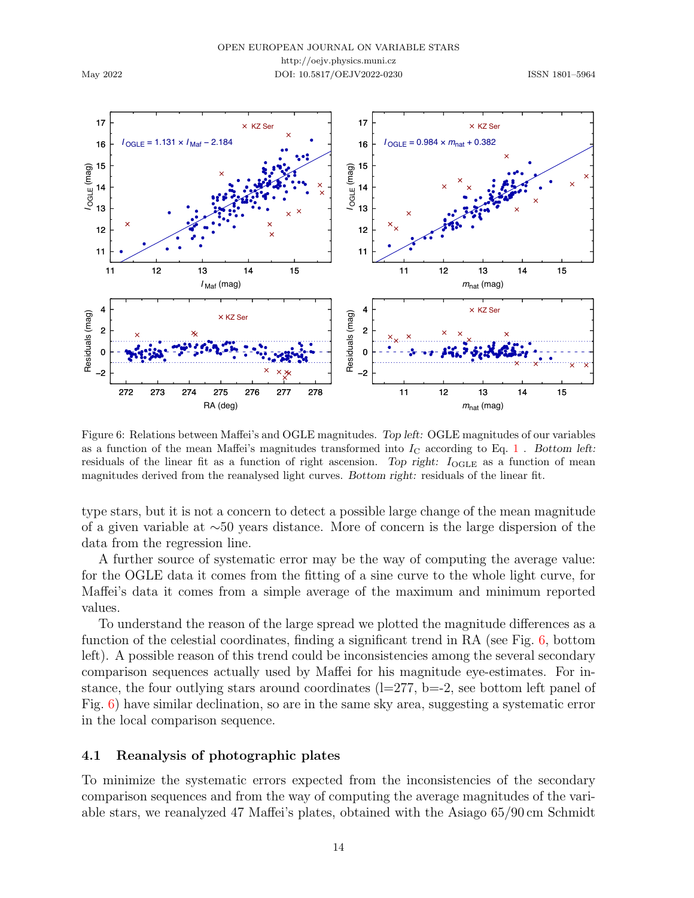OPEN EUROPEAN JOURNAL ON VARIABLE STARS http://oejv.physics.muni.cz

DOI: 10.5817/OEJV2022-0230 ISSN 1801-5964

May 2022



<span id="page-13-0"></span>Figure 6: Relations between Maffei's and OGLE magnitudes. Top left: OGLE magnitudes of our variables as a function of the mean Maffei's magnitudes transformed into  $I_{\rm C}$  according to Eq. [1](#page-12-0). Bottom left: residuals of the linear fit as a function of right ascension. Top right:  $I_{\text{OGLE}}$  as a function of mean magnitudes derived from the reanalysed light curves. Bottom right: residuals of the linear fit.

type stars, but it is not a concern to detect a possible large change of the mean magnitude of a given variable at ∼50 years distance. More of concern is the large dispersion of the data from the regression line.

A further source of systematic error may be the way of computing the average value: for the OGLE data it comes from the fitting of a sine curve to the whole light curve, for Maffei's data it comes from a simple average of the maximum and minimum reported values.

To understand the reason of the large spread we plotted the magnitude differences as a function of the celestial coordinates, finding a significant trend in RA (see Fig. [6,](#page-13-0) bottom left). A possible reason of this trend could be inconsistencies among the several secondary comparison sequences actually used by Maffei for his magnitude eye-estimates. For instance, the four outlying stars around coordinates  $(l=277, b=-2,$  see bottom left panel of Fig. [6\)](#page-13-0) have similar declination, so are in the same sky area, suggesting a systematic error in the local comparison sequence.

#### 4.1 Reanalysis of photographic plates

To minimize the systematic errors expected from the inconsistencies of the secondary comparison sequences and from the way of computing the average magnitudes of the variable stars, we reanalyzed 47 Maffei's plates, obtained with the Asiago 65/90 cm Schmidt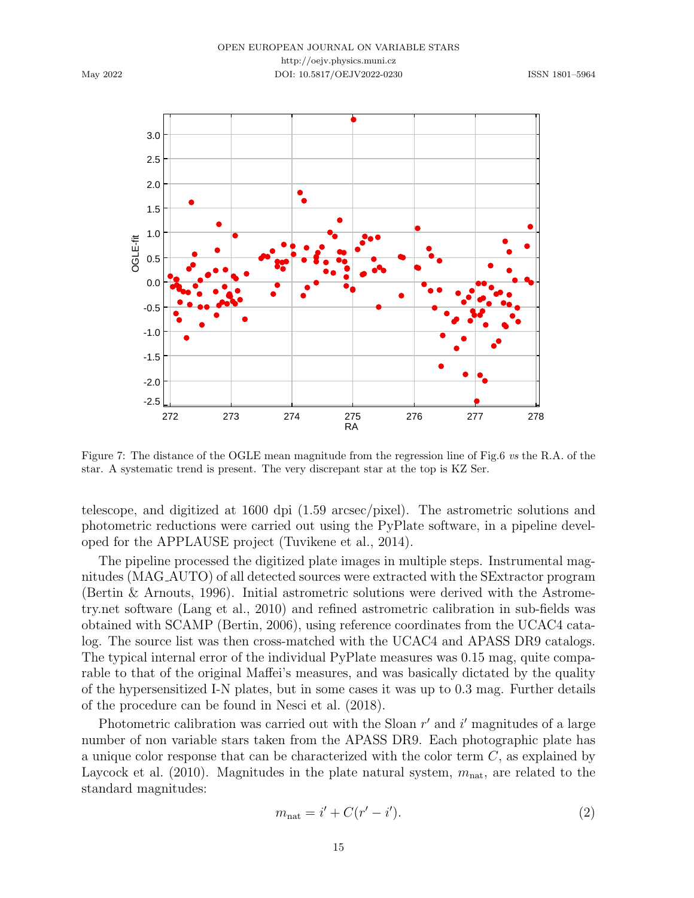#### OPEN EUROPEAN JOURNAL ON VARIABLE STARS http://oejv.physics.muni.cz DOI: 10.5817/OEJV2022-0230 ISSN 1801–5964



Figure 7: The distance of the OGLE mean magnitude from the regression line of Fig.6 vs the R.A. of the star. A systematic trend is present. The very discrepant star at the top is KZ Ser.

telescope, and digitized at 1600 dpi (1.59 arcsec/pixel). The astrometric solutions and photometric reductions were carried out using the PyPlate software, in a pipeline developed for the APPLAUSE project [\(Tuvikene et al.,](#page-21-2) [2014\)](#page-21-2).

The pipeline processed the digitized plate images in multiple steps. Instrumental magnitudes (MAG AUTO) of all detected sources were extracted with the SExtractor program [\(Bertin & Arnouts,](#page-19-3) [1996\)](#page-19-3). Initial astrometric solutions were derived with the Astrometry.net software [\(Lang et al.,](#page-20-16) [2010\)](#page-20-16) and refined astrometric calibration in sub-fields was obtained with SCAMP [\(Bertin,](#page-19-4) [2006\)](#page-19-4), using reference coordinates from the UCAC4 catalog. The source list was then cross-matched with the UCAC4 and APASS DR9 catalogs. The typical internal error of the individual PyPlate measures was 0.15 mag, quite comparable to that of the original Maffei's measures, and was basically dictated by the quality of the hypersensitized I-N plates, but in some cases it was up to 0.3 mag. Further details of the procedure can be found in [Nesci et al.](#page-20-17) [\(2018\)](#page-20-17).

Photometric calibration was carried out with the Sloan  $r'$  and  $i'$  magnitudes of a large number of non variable stars taken from the APASS DR9. Each photographic plate has a unique color response that can be characterized with the color term  $C$ , as explained by [Laycock et al.](#page-20-18) [\(2010\)](#page-20-18). Magnitudes in the plate natural system,  $m_{\text{nat}}$ , are related to the standard magnitudes:

$$
m_{\text{nat}} = i' + C(r' - i'). \tag{2}
$$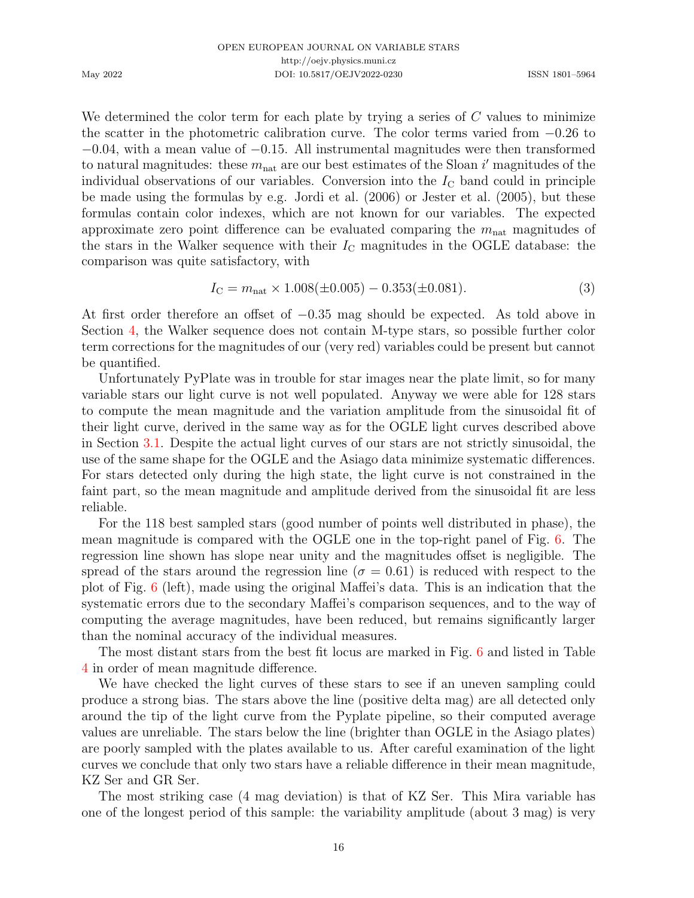We determined the color term for each plate by trying a series of  $C$  values to minimize the scatter in the photometric calibration curve. The color terms varied from −0.26 to  $-0.04$ , with a mean value of  $-0.15$ . All instrumental magnitudes were then transformed to natural magnitudes: these  $m_{\text{nat}}$  are our best estimates of the Sloan i' magnitudes of the individual observations of our variables. Conversion into the  $I_{\rm C}$  band could in principle be made using the formulas by e.g. [Jordi et al.](#page-19-5) [\(2006\)](#page-19-5) or [Jester et al.](#page-19-6) [\(2005\)](#page-19-6), but these formulas contain color indexes, which are not known for our variables. The expected approximate zero point difference can be evaluated comparing the  $m_{\text{nat}}$  magnitudes of the stars in the Walker sequence with their  $I_{\rm C}$  magnitudes in the OGLE database: the comparison was quite satisfactory, with

$$
I_{\rm C} = m_{\rm nat} \times 1.008(\pm 0.005) - 0.353(\pm 0.081). \tag{3}
$$

At first order therefore an offset of −0.35 mag should be expected. As told above in Section [4,](#page-11-0) the Walker sequence does not contain M-type stars, so possible further color term corrections for the magnitudes of our (very red) variables could be present but cannot be quantified.

Unfortunately PyPlate was in trouble for star images near the plate limit, so for many variable stars our light curve is not well populated. Anyway we were able for 128 stars to compute the mean magnitude and the variation amplitude from the sinusoidal fit of their light curve, derived in the same way as for the OGLE light curves described above in Section [3.1.](#page-2-0) Despite the actual light curves of our stars are not strictly sinusoidal, the use of the same shape for the OGLE and the Asiago data minimize systematic differences. For stars detected only during the high state, the light curve is not constrained in the faint part, so the mean magnitude and amplitude derived from the sinusoidal fit are less reliable.

For the 118 best sampled stars (good number of points well distributed in phase), the mean magnitude is compared with the OGLE one in the top-right panel of Fig. [6.](#page-13-0) The regression line shown has slope near unity and the magnitudes offset is negligible. The spread of the stars around the regression line ( $\sigma = 0.61$ ) is reduced with respect to the plot of Fig. [6](#page-13-0) (left), made using the original Maffei's data. This is an indication that the systematic errors due to the secondary Maffei's comparison sequences, and to the way of computing the average magnitudes, have been reduced, but remains significantly larger than the nominal accuracy of the individual measures.

The most distant stars from the best fit locus are marked in Fig. [6](#page-13-0) and listed in Table [4](#page-16-0) in order of mean magnitude difference.

We have checked the light curves of these stars to see if an uneven sampling could produce a strong bias. The stars above the line (positive delta mag) are all detected only around the tip of the light curve from the Pyplate pipeline, so their computed average values are unreliable. The stars below the line (brighter than OGLE in the Asiago plates) are poorly sampled with the plates available to us. After careful examination of the light curves we conclude that only two stars have a reliable difference in their mean magnitude, KZ Ser and GR Ser.

The most striking case (4 mag deviation) is that of KZ Ser. This Mira variable has one of the longest period of this sample: the variability amplitude (about 3 mag) is very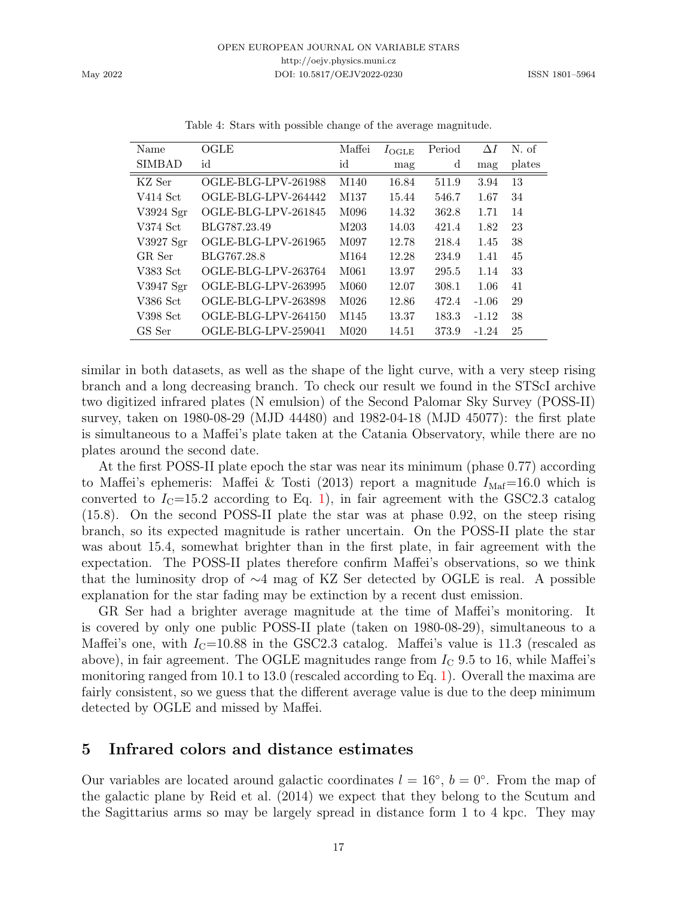| Name          | OGLE                | Maffei           | $I_{\text{OGLE}}$ | Period | $\Delta I$ | N. of  |
|---------------|---------------------|------------------|-------------------|--------|------------|--------|
| <b>SIMBAD</b> | id                  | id               | mag               | d      | mag        | plates |
| KZ Ser        | OGLE-BLG-LPV-261988 | M <sub>140</sub> | 16.84             | 511.9  | 3.94       | 13     |
| V414 Sct      | OGLE-BLG-LPV-264442 | M137             | 15.44             | 546.7  | 1.67       | 34     |
| V3924 Sgr     | OGLE-BLG-LPV-261845 | M096             | 14.32             | 362.8  | 1.71       | 14     |
| V374 Sct      | BLG787.23.49        | M203             | 14.03             | 421.4  | 1.82       | 23     |
| V3927 Sgr     | OGLE-BLG-LPV-261965 | M097             | 12.78             | 218.4  | 1.45       | 38     |
| GR Ser        | BLG767.28.8         | M164             | 12.28             | 234.9  | 1.41       | 45     |
| V383 Sct      | OGLE-BLG-LPV-263764 | M061             | 13.97             | 295.5  | 1.14       | 33     |
| V3947 Sgr     | OGLE-BLG-LPV-263995 | M060             | 12.07             | 308.1  | 1.06       | 41     |
| V386 Sct      | OGLE-BLG-LPV-263898 | M <sub>026</sub> | 12.86             | 472.4  | $-1.06$    | 29     |
| V398 Sct      | OGLE-BLG-LPV-264150 | M <sub>145</sub> | 13.37             | 183.3  | $-1.12$    | 38     |
| GS Ser        | OGLE-BLG-LPV-259041 | M <sub>020</sub> | 14.51             | 373.9  | $-1.24$    | 25     |

<span id="page-16-0"></span>Table 4: Stars with possible change of the average magnitude.

similar in both datasets, as well as the shape of the light curve, with a very steep rising branch and a long decreasing branch. To check our result we found in the STScI archive two digitized infrared plates (N emulsion) of the Second Palomar Sky Survey (POSS-II) survey, taken on 1980-08-29 (MJD 44480) and 1982-04-18 (MJD 45077): the first plate is simultaneous to a Maffei's plate taken at the Catania Observatory, while there are no plates around the second date.

At the first POSS-II plate epoch the star was near its minimum (phase 0.77) according to Maffei's ephemeris: [Maffei & Tosti](#page-20-8) [\(2013\)](#page-20-8) report a magnitude  $I_{\text{Maf}}$ =16.0 which is converted to  $I_{\rm C}$ =15.2 according to Eq. [1\)](#page-12-0), in fair agreement with the GSC2.3 catalog (15.8). On the second POSS-II plate the star was at phase 0.92, on the steep rising branch, so its expected magnitude is rather uncertain. On the POSS-II plate the star was about 15.4, somewhat brighter than in the first plate, in fair agreement with the expectation. The POSS-II plates therefore confirm Maffei's observations, so we think that the luminosity drop of ∼4 mag of KZ Ser detected by OGLE is real. A possible explanation for the star fading may be extinction by a recent dust emission.

GR Ser had a brighter average magnitude at the time of Maffei's monitoring. It is covered by only one public POSS-II plate (taken on 1980-08-29), simultaneous to a Maffei's one, with  $I_{\rm C}$ =10.88 in the GSC2.3 catalog. Maffei's value is 11.3 (rescaled as above), in fair agreement. The OGLE magnitudes range from  $I_{\rm C}$  9.5 to 16, while Maffei's monitoring ranged from 10.1 to 13.0 (rescaled according to Eq. [1\)](#page-12-0). Overall the maxima are fairly consistent, so we guess that the different average value is due to the deep minimum detected by OGLE and missed by Maffei.

## 5 Infrared colors and distance estimates

Our variables are located around galactic coordinates  $l = 16°, b = 0°$ . From the map of the galactic plane by [Reid et al.](#page-20-19) [\(2014\)](#page-20-19) we expect that they belong to the Scutum and the Sagittarius arms so may be largely spread in distance form 1 to 4 kpc. They may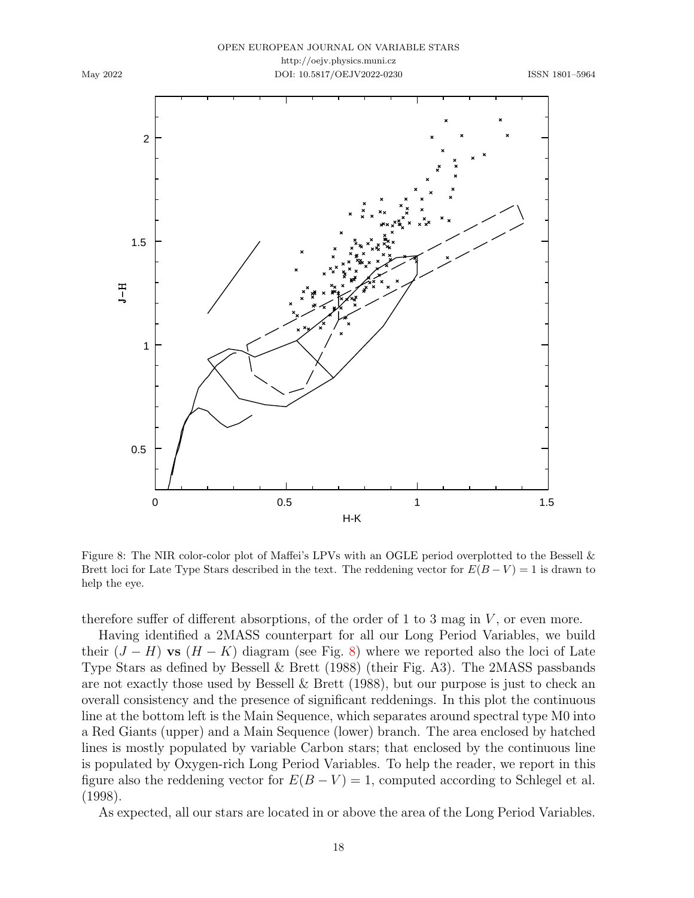

#### OPEN EUROPEAN JOURNAL ON VARIABLE STARS http://oejv.physics.muni.cz DOI: 10.5817/OEJV2022-0230 ISSN 1801–5964



<span id="page-17-0"></span>Figure 8: The NIR color-color plot of Maffei's LPVs with an OGLE period overplotted to the Bessell & Brett loci for Late Type Stars described in the text. The reddening vector for  $E(B-V) = 1$  is drawn to help the eye.

therefore suffer of different absorptions, of the order of 1 to 3 mag in  $V$ , or even more.

Having identified a 2MASS counterpart for all our Long Period Variables, we build their  $(J - H)$  vs  $(H - K)$  diagram (see Fig. [8\)](#page-17-0) where we reported also the loci of Late Type Stars as defined by [Bessell & Brett](#page-19-7) [\(1988\)](#page-19-7) (their Fig. A3). The 2MASS passbands are not exactly those used by [Bessell & Brett](#page-19-7) [\(1988\)](#page-19-7), but our purpose is just to check an overall consistency and the presence of significant reddenings. In this plot the continuous line at the bottom left is the Main Sequence, which separates around spectral type M0 into a Red Giants (upper) and a Main Sequence (lower) branch. The area enclosed by hatched lines is mostly populated by variable Carbon stars; that enclosed by the continuous line is populated by Oxygen-rich Long Period Variables. To help the reader, we report in this figure also the reddening vector for  $E(B-V) = 1$ , computed according to [Schlegel et al.](#page-20-20) [\(1998\)](#page-20-20).

As expected, all our stars are located in or above the area of the Long Period Variables.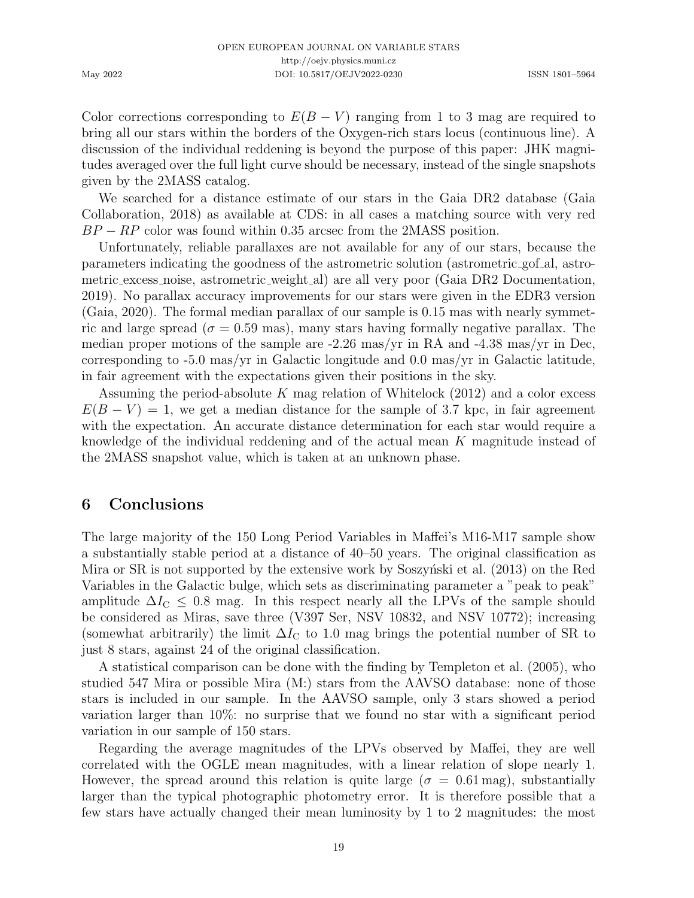Color corrections corresponding to  $E(B - V)$  ranging from 1 to 3 mag are required to bring all our stars within the borders of the Oxygen-rich stars locus (continuous line). A discussion of the individual reddening is beyond the purpose of this paper: JHK magnitudes averaged over the full light curve should be necessary, instead of the single snapshots given by the 2MASS catalog.

We searched for a distance estimate of our stars in the Gaia DR2 database [\(Gaia](#page-19-8) [Collaboration,](#page-19-8) [2018\)](#page-19-8) as available at CDS: in all cases a matching source with very red  $BP - RP$  color was found within 0.35 arcsec from the 2MASS position.

Unfortunately, reliable parallaxes are not available for any of our stars, because the parameters indicating the goodness of the astrometric solution (astrometric gof al, astrometric excess noise, astrometric weight al) are all very poor [\(Gaia DR2 Documentation,](#page-19-9) [2019\)](#page-19-9). No parallax accuracy improvements for our stars were given in the EDR3 version [\(Gaia,](#page-19-10) [2020\)](#page-19-10). The formal median parallax of our sample is 0.15 mas with nearly symmetric and large spread ( $\sigma = 0.59$  mas), many stars having formally negative parallax. The median proper motions of the sample are -2.26 mas/yr in RA and -4.38 mas/yr in Dec, corresponding to -5.0 mas/yr in Galactic longitude and 0.0 mas/yr in Galactic latitude, in fair agreement with the expectations given their positions in the sky.

Assuming the period-absolute K mag relation of [Whitelock](#page-21-3)  $(2012)$  and a color excess  $E(B - V) = 1$ , we get a median distance for the sample of 3.7 kpc, in fair agreement with the expectation. An accurate distance determination for each star would require a knowledge of the individual reddening and of the actual mean K magnitude instead of the 2MASS snapshot value, which is taken at an unknown phase.

# 6 Conclusions

The large majority of the 150 Long Period Variables in Maffei's M16-M17 sample show a substantially stable period at a distance of 40–50 years. The original classification as Mira or SR is not supported by the extensive work by Soszynski et al.  $(2013)$  on the Red Variables in the Galactic bulge, which sets as discriminating parameter a "peak to peak" amplitude  $\Delta I_{\rm C} \leq 0.8$  mag. In this respect nearly all the LPVs of the sample should be considered as Miras, save three (V397 Ser, NSV 10832, and NSV 10772); increasing (somewhat arbitrarily) the limit  $\Delta I_{\rm C}$  to 1.0 mag brings the potential number of SR to just 8 stars, against 24 of the original classification.

A statistical comparison can be done with the finding by [Templeton et al.](#page-20-1) [\(2005\)](#page-20-1), who studied 547 Mira or possible Mira (M:) stars from the AAVSO database: none of those stars is included in our sample. In the AAVSO sample, only 3 stars showed a period variation larger than 10%: no surprise that we found no star with a significant period variation in our sample of 150 stars.

Regarding the average magnitudes of the LPVs observed by Maffei, they are well correlated with the OGLE mean magnitudes, with a linear relation of slope nearly 1. However, the spread around this relation is quite large ( $\sigma = 0.61$  mag), substantially larger than the typical photographic photometry error. It is therefore possible that a few stars have actually changed their mean luminosity by 1 to 2 magnitudes: the most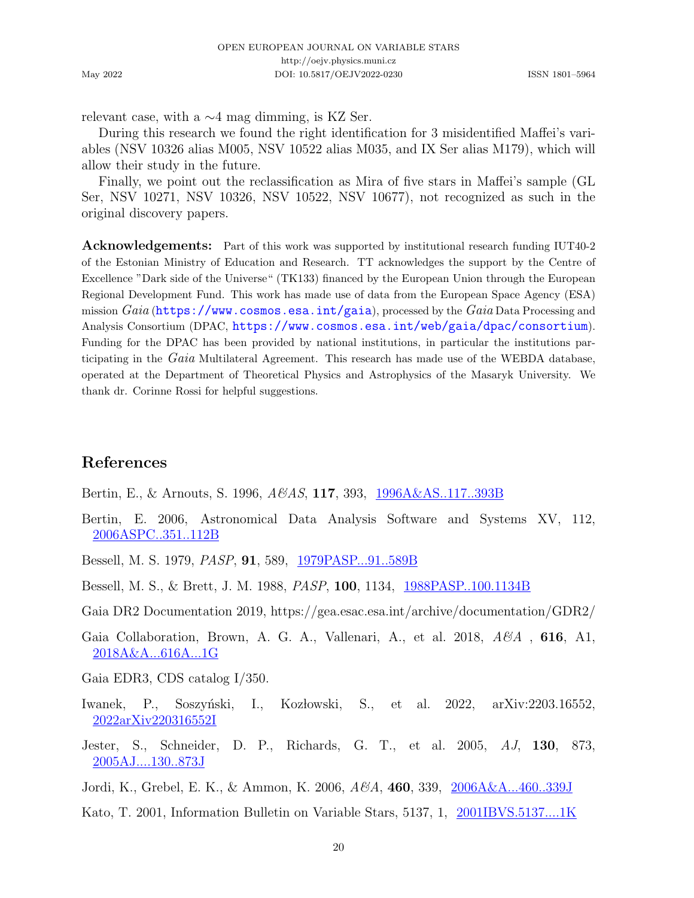relevant case, with a ∼4 mag dimming, is KZ Ser.

During this research we found the right identification for 3 misidentified Maffei's variables (NSV 10326 alias M005, NSV 10522 alias M035, and IX Ser alias M179), which will allow their study in the future.

Finally, we point out the reclassification as Mira of five stars in Maffei's sample (GL Ser, NSV 10271, NSV 10326, NSV 10522, NSV 10677), not recognized as such in the original discovery papers.

Acknowledgements: Part of this work was supported by institutional research funding IUT40-2 of the Estonian Ministry of Education and Research. TT acknowledges the support by the Centre of Excellence "Dark side of the Universe" (TK133) financed by the European Union through the European Regional Development Fund. This work has made use of data from the European Space Agency (ESA) mission  $Gaia$  (<https://www.cosmos.esa.int/gaia>), processed by the  $Gaia$  Data Processing and Analysis Consortium (DPAC, <https://www.cosmos.esa.int/web/gaia/dpac/consortium>). Funding for the DPAC has been provided by national institutions, in particular the institutions participating in the Gaia Multilateral Agreement. This research has made use of the WEBDA database, operated at the Department of Theoretical Physics and Astrophysics of the Masaryk University. We thank dr. Corinne Rossi for helpful suggestions.

# References

<span id="page-19-3"></span>Bertin, E., & Arnouts, S. 1996, A&AS, 117, 393, [1996A&AS..117..393B](https://ui.adsabs.harvard.edu/abs/1996A&AS..117..393B)

<span id="page-19-4"></span>Bertin, E. 2006, Astronomical Data Analysis Software and Systems XV, 112, [2006ASPC..351..112B](https://ui.adsabs.harvard.edu/abs/2006ASPC..351..112B)

<span id="page-19-2"></span>Bessell, M. S. 1979, PASP, 91, 589, [1979PASP...91..589B](https://ui.adsabs.harvard.edu/abs/1979PASP...91..589B)

<span id="page-19-7"></span>Bessell, M. S., & Brett, J. M. 1988, PASP, 100, 1134, [1988PASP..100.1134B](https://ui.adsabs.harvard.edu/abs/1988PASP..100.1134B)

<span id="page-19-9"></span>Gaia DR2 Documentation 2019, https://gea.esac.esa.int/archive/documentation/GDR2/

<span id="page-19-8"></span>Gaia Collaboration, Brown, A. G. A., Vallenari, A., et al. 2018,  $A\mathscr{C}A$ , 616, A1, [2018A&A...616A...1G](https://ui.adsabs.harvard.edu/abs/2018A&A...616A...1G)

<span id="page-19-10"></span>Gaia EDR3, CDS catalog I/350.

- <span id="page-19-1"></span>Iwanek, P., Soszyński, I., Kozłowski, S., et al. 2022, arXiv: 2203.16552, [2022arXiv220316552I](https://ui.adsabs.harvard.edu/abs/2022arXiv220316552I)
- <span id="page-19-6"></span>Jester, S., Schneider, D. P., Richards, G. T., et al. 2005, AJ, 130, 873, [2005AJ....130..873J](https://ui.adsabs.harvard.edu/abs/2005AJ....130..873J)
- <span id="page-19-5"></span>Jordi, K., Grebel, E. K., & Ammon, K. 2006, A&A, 460, 339, [2006A&A...460..339J](https://ui.adsabs.harvard.edu/abs/2006A&A...460..339J)
- <span id="page-19-0"></span>Kato, T. 2001, Information Bulletin on Variable Stars, 5137, 1, [2001IBVS.5137....1K](https://ui.adsabs.harvard.edu/abs/2001IBVS.5137....1K)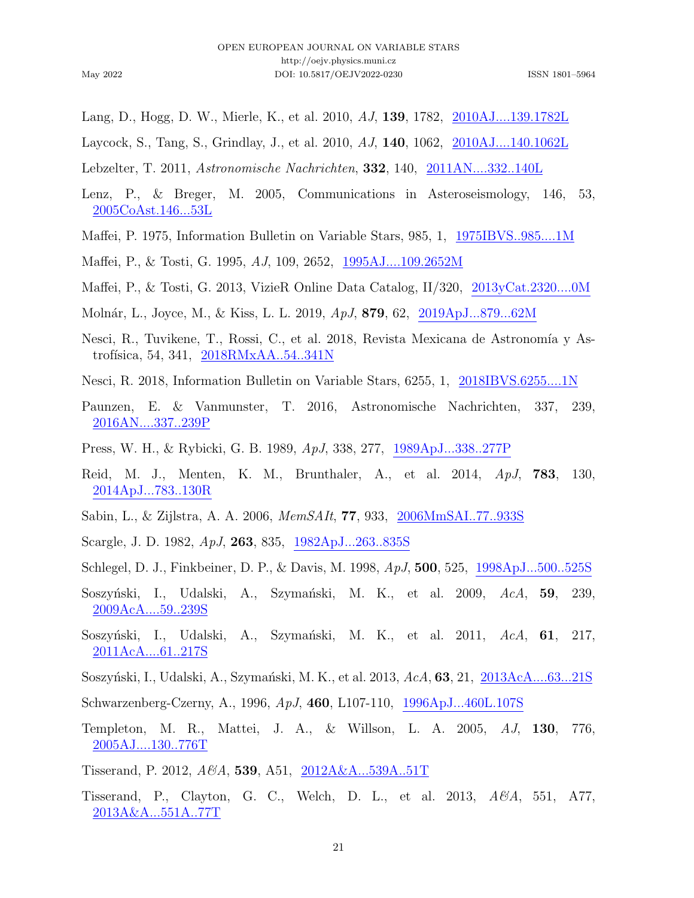- <span id="page-20-16"></span>Lang, D., Hogg, D. W., Mierle, K., et al. 2010, AJ, 139, 1782, [2010AJ....139.1782L](https://ui.adsabs.harvard.edu/abs/2010AJ....139.1782L)
- <span id="page-20-18"></span>Laycock, S., Tang, S., Grindlay, J., et al. 2010, AJ, 140, 1062, [2010AJ....140.1062L](https://ui.adsabs.harvard.edu/abs/2010AJ....140.1062L)
- <span id="page-20-4"></span>Lebzelter, T. 2011, Astronomische Nachrichten, 332, 140, [2011AN....332..140L](https://ui.adsabs.harvard.edu/abs/2011AN....332..140L)
- <span id="page-20-12"></span>Lenz, P., & Breger, M. 2005, Communications in Asteroseismology, 146, 53, [2005CoAst.146...53L](https://ui.adsabs.harvard.edu/abs/2005CoAst.146...53L)
- <span id="page-20-7"></span>Maffei, P. 1975, Information Bulletin on Variable Stars, 985, 1, [1975IBVS..985....1M](https://ui.adsabs.harvard.edu/abs/1975IBVS..985....1M)
- <span id="page-20-15"></span>Maffei, P., & Tosti, G. 1995, AJ, 109, 2652, [1995AJ....109.2652M](https://ui.adsabs.harvard.edu/abs/1995AJ....109.2652M)
- <span id="page-20-8"></span>Maffei, P., & Tosti, G. 2013, VizieR Online Data Catalog, II/320, [2013yCat.2320....0M](https://ui.adsabs.harvard.edu/abs/2013yCat.2320....0M)
- <span id="page-20-2"></span>Moln´ar, L., Joyce, M., & Kiss, L. L. 2019, ApJ, 879, 62, [2019ApJ...879...62M](https://ui.adsabs.harvard.edu/abs/2019ApJ...879...62M)
- <span id="page-20-17"></span>Nesci, R., Tuvikene, T., Rossi, C., et al. 2018, Revista Mexicana de Astronomía y Astrofísica, 54, 341,  $2018RMXAA..54..341N$
- <span id="page-20-11"></span>Nesci, R. 2018, Information Bulletin on Variable Stars, 6255, 1, [2018IBVS.6255....1N](https://ui.adsabs.harvard.edu/abs/2018IBVS.6255....1N)
- <span id="page-20-13"></span>Paunzen, E. & Vanmunster, T. 2016, Astronomische Nachrichten, 337, 239, [2016AN....337..239P](https://ui.adsabs.harvard.edu/abs/2016AN....337..239P)
- <span id="page-20-9"></span>Press, W. H., & Rybicki, G. B. 1989, ApJ, 338, 277, [1989ApJ...338..277P](https://ui.adsabs.harvard.edu/abs/1989ApJ...338..277P)
- <span id="page-20-19"></span>Reid, M. J., Menten, K. M., Brunthaler, A., et al. 2014, ApJ, 783, 130, [2014ApJ...783..130R](https://ui.adsabs.harvard.edu/abs/2014ApJ...783..130R)
- <span id="page-20-3"></span>Sabin, L., & Zijlstra, A. A. 2006, MemSAIt, 77, 933, [2006MmSAI..77..933S](https://ui.adsabs.harvard.edu/abs/2006MmSAI..77..933S)
- Scargle, J. D. 1982, ApJ, 263, 835, [1982ApJ...263..835S](https://ui.adsabs.harvard.edu/abs/1982ApJ...263..835S)
- <span id="page-20-20"></span>Schlegel, D. J., Finkbeiner, D. P., & Davis, M. 1998, ApJ, 500, 525, [1998ApJ...500..525S](https://ui.adsabs.harvard.edu/abs/1998ApJ...500..525S)
- <span id="page-20-5"></span>Soszyński, I., Udalski, A., Szymański, M. K., et al. 2009, AcA, 59, 239, [2009AcA....59..239S](https://ui.adsabs.harvard.edu/abs/2009AcA....59..239S)
- <span id="page-20-6"></span>Soszyński, I., Udalski, A., Szymański, M. K., et al. 2011, AcA, 61, 217, [2011AcA....61..217S](https://ui.adsabs.harvard.edu/abs/2011AcA....61..217S)
- <span id="page-20-0"></span>Soszyński, I., Udalski, A., Szymański, M. K., et al. 2013, AcA, 63, 21, [2013AcA....63...21S](https://ui.adsabs.harvard.edu/abs/2013AcA....63...21S)
- <span id="page-20-10"></span>Schwarzenberg-Czerny, A., 1996, ApJ, 460, L107-110, [1996ApJ...460L.107S](https://ui.adsabs.harvard.edu/abs/1996ApJ...460L.107S)
- <span id="page-20-1"></span>Templeton, M. R., Mattei, J. A., & Willson, L. A. 2005, AJ, 130, 776, [2005AJ....130..776T](https://ui.adsabs.harvard.edu/abs/2005AJ....130..776T)
- Tisserand, P. 2012, A&A, 539, A51, [2012A&A...539A..51T](https://ui.adsabs.harvard.edu/abs/2012A&A...539A..51T)
- <span id="page-20-14"></span>Tisserand, P., Clayton, G. C., Welch, D. L., et al. 2013, A&A, 551, A77, [2013A&A...551A..77T](https://ui.adsabs.harvard.edu/abs/2013A&A...551A..77T)